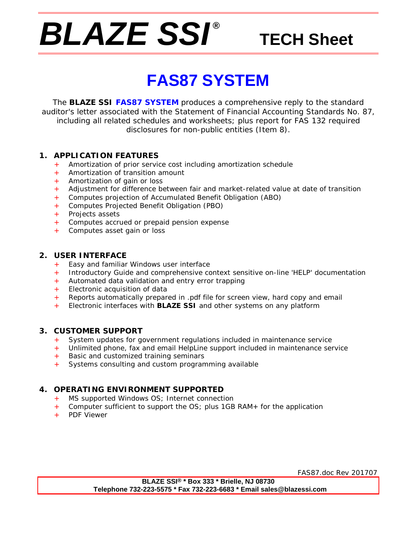# *BLAZE SSI ®*

## **TECH Sheet**

## **FAS87 SYSTEM**

The **BLAZE SSI FAS87 SYSTEM** produces a comprehensive reply to the standard auditor's letter associated with the Statement of Financial Accounting Standards No. 87, including all related schedules and worksheets; plus report for FAS 132 required disclosures for non-public entities (Item 8).

#### **1. APPLICATION FEATURES**

- Amortization of prior service cost including amortization schedule
- + Amortization of transition amount
- + Amortization of gain or loss
- + Adjustment for difference between fair and market-related value at date of transition
- + Computes projection of Accumulated Benefit Obligation (ABO)
- + Computes Projected Benefit Obligation (PBO)
- + Projects assets
- + Computes accrued or prepaid pension expense
- + Computes asset gain or loss

#### **2. USER INTERFACE**

- + Easy and familiar Windows user interface
- + Introductory Guide and comprehensive context sensitive on-line 'HELP' documentation
- + Automated data validation and entry error trapping
- + Electronic acquisition of data
- + Reports automatically prepared in .pdf file for screen view, hard copy and email
- Electronic interfaces with **BLAZE SSI** and other systems on any platform

#### **3. CUSTOMER SUPPORT**

- + System updates for government regulations included in maintenance service<br>+ Unlimited phone, fax and email HelpLine support included in maintenance ser
- Unlimited phone, fax and email HelpLine support included in maintenance service
- + Basic and customized training seminars
- Systems consulting and custom programming available

#### **4. OPERATING ENVIRONMENT SUPPORTED**

- + MS supported Windows OS; Internet connection
- + Computer sufficient to support the OS; plus 1GB RAM+ for the application
- PDF Viewer

FAS87.doc Rev 201707